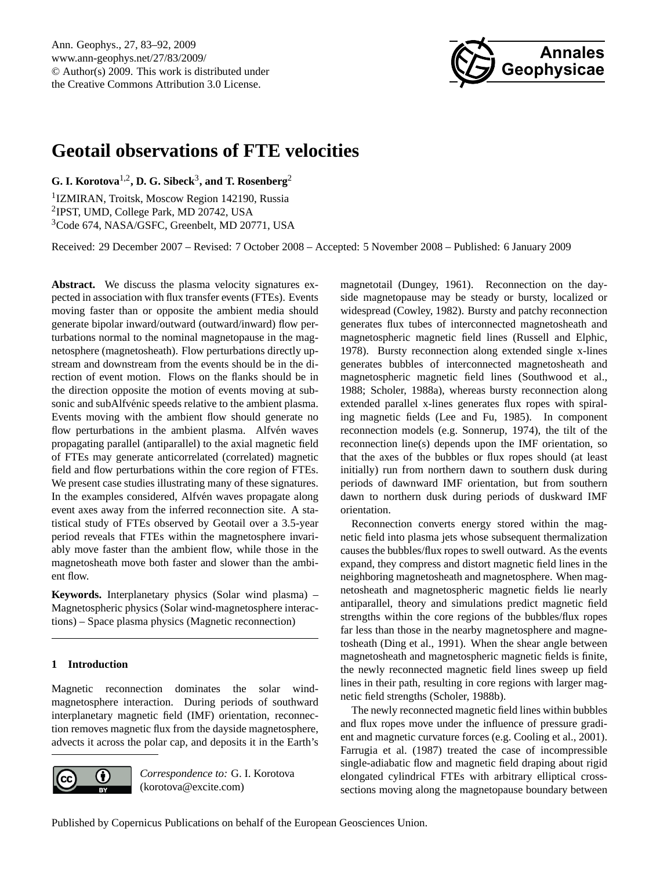<span id="page-0-0"></span>Ann. Geophys., 27, 83–92, 2009 www.ann-geophys.net/27/83/2009/ © Author(s) 2009. This work is distributed under the Creative Commons Attribution 3.0 License.



# **Geotail observations of FTE velocities**

**G. I. Korotova**1,2**, D. G. Sibeck**<sup>3</sup> **, and T. Rosenberg**<sup>2</sup>

<sup>1</sup>IZMIRAN, Troitsk, Moscow Region 142190, Russia 2 IPST, UMD, College Park, MD 20742, USA <sup>3</sup>Code 674, NASA/GSFC, Greenbelt, MD 20771, USA

Received: 29 December 2007 – Revised: 7 October 2008 – Accepted: 5 November 2008 – Published: 6 January 2009

**Abstract.** We discuss the plasma velocity signatures expected in association with flux transfer events (FTEs). Events moving faster than or opposite the ambient media should generate bipolar inward/outward (outward/inward) flow perturbations normal to the nominal magnetopause in the magnetosphere (magnetosheath). Flow perturbations directly upstream and downstream from the events should be in the direction of event motion. Flows on the flanks should be in the direction opposite the motion of events moving at subsonic and subAlfvénic speeds relative to the ambient plasma. Events moving with the ambient flow should generate no flow perturbations in the ambient plasma. Alfvén waves propagating parallel (antiparallel) to the axial magnetic field of FTEs may generate anticorrelated (correlated) magnetic field and flow perturbations within the core region of FTEs. We present case studies illustrating many of these signatures. In the examples considered, Alfvén waves propagate along event axes away from the inferred reconnection site. A statistical study of FTEs observed by Geotail over a 3.5-year period reveals that FTEs within the magnetosphere invariably move faster than the ambient flow, while those in the magnetosheath move both faster and slower than the ambient flow.

**Keywords.** Interplanetary physics (Solar wind plasma) – Magnetospheric physics (Solar wind-magnetosphere interactions) – Space plasma physics (Magnetic reconnection)

# **1 Introduction**

Magnetic reconnection dominates the solar windmagnetosphere interaction. During periods of southward interplanetary magnetic field (IMF) orientation, reconnection removes magnetic flux from the dayside magnetosphere, advects it across the polar cap, and deposits it in the Earth's



*Correspondence to:* G. I. Korotova (korotova@excite.com)

magnetotail (Dungey, 1961). Reconnection on the dayside magnetopause may be steady or bursty, localized or widespread (Cowley, 1982). Bursty and patchy reconnection generates flux tubes of interconnected magnetosheath and magnetospheric magnetic field lines (Russell and Elphic, 1978). Bursty reconnection along extended single x-lines generates bubbles of interconnected magnetosheath and magnetospheric magnetic field lines (Southwood et al., 1988; Scholer, 1988a), whereas bursty reconnection along extended parallel x-lines generates flux ropes with spiraling magnetic fields (Lee and Fu, 1985). In component reconnection models (e.g. Sonnerup, 1974), the tilt of the reconnection line(s) depends upon the IMF orientation, so that the axes of the bubbles or flux ropes should (at least initially) run from northern dawn to southern dusk during periods of dawnward IMF orientation, but from southern dawn to northern dusk during periods of duskward IMF orientation.

Reconnection converts energy stored within the magnetic field into plasma jets whose subsequent thermalization causes the bubbles/flux ropes to swell outward. As the events expand, they compress and distort magnetic field lines in the neighboring magnetosheath and magnetosphere. When magnetosheath and magnetospheric magnetic fields lie nearly antiparallel, theory and simulations predict magnetic field strengths within the core regions of the bubbles/flux ropes far less than those in the nearby magnetosphere and magnetosheath (Ding et al., 1991). When the shear angle between magnetosheath and magnetospheric magnetic fields is finite, the newly reconnected magnetic field lines sweep up field lines in their path, resulting in core regions with larger magnetic field strengths (Scholer, 1988b).

The newly reconnected magnetic field lines within bubbles and flux ropes move under the influence of pressure gradient and magnetic curvature forces (e.g. Cooling et al., 2001). Farrugia et al. (1987) treated the case of incompressible single-adiabatic flow and magnetic field draping about rigid elongated cylindrical FTEs with arbitrary elliptical crosssections moving along the magnetopause boundary between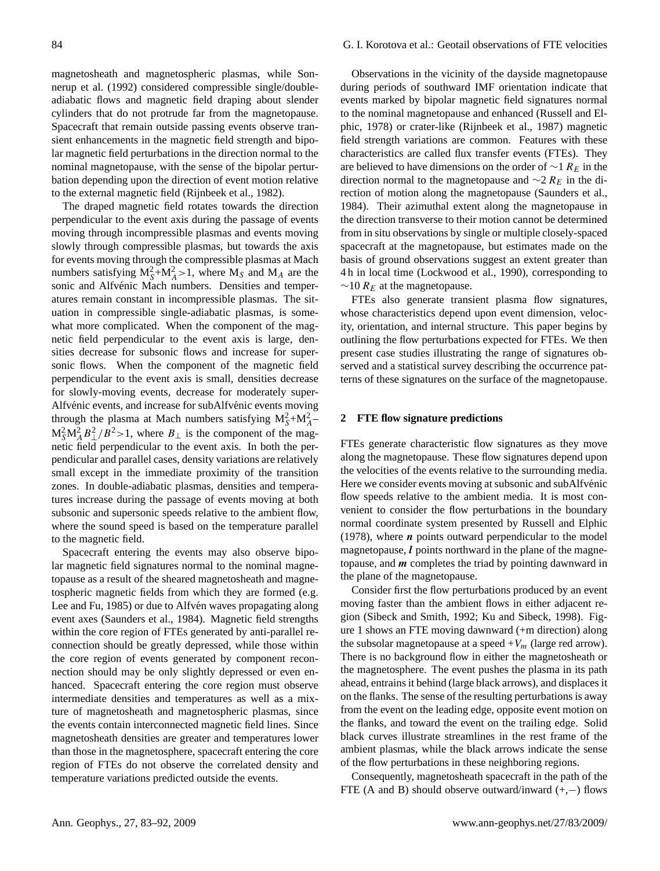magnetosheath and magnetospheric plasmas, while Sonnerup et al. (1992) considered compressible single/doubleadiabatic flows and magnetic field draping about slender cylinders that do not protrude far from the magnetopause. Spacecraft that remain outside passing events observe transient enhancements in the magnetic field strength and bipolar magnetic field perturbations in the direction normal to the nominal magnetopause, with the sense of the bipolar perturbation depending upon the direction of event motion relative to the external magnetic field (Rijnbeek et al., 1982).

The draped magnetic field rotates towards the direction perpendicular to the event axis during the passage of events moving through incompressible plasmas and events moving slowly through compressible plasmas, but towards the axis for events moving through the compressible plasmas at Mach numbers satisfying  $M_S^2 + M_A^2 > 1$ , where  $M_S$  and  $M_A$  are the sonic and Alfvénic Mach numbers. Densities and temperatures remain constant in incompressible plasmas. The situation in compressible single-adiabatic plasmas, is somewhat more complicated. When the component of the magnetic field perpendicular to the event axis is large, densities decrease for subsonic flows and increase for supersonic flows. When the component of the magnetic field perpendicular to the event axis is small, densities decrease for slowly-moving events, decrease for moderately super-Alfvénic events, and increase for subAlfvénic events moving through the plasma at Mach numbers satisfying  $M_S^2 + M_A^2$  $M_S^2 M_A^2 B_\perp^2 / B^2 > 1$ , where  $B_\perp$  is the component of the magnetic field perpendicular to the event axis. In both the perpendicular and parallel cases, density variations are relatively small except in the immediate proximity of the transition zones. In double-adiabatic plasmas, densities and temperatures increase during the passage of events moving at both subsonic and supersonic speeds relative to the ambient flow, where the sound speed is based on the temperature parallel to the magnetic field.

Spacecraft entering the events may also observe bipolar magnetic field signatures normal to the nominal magnetopause as a result of the sheared magnetosheath and magnetospheric magnetic fields from which they are formed (e.g. Lee and Fu, 1985) or due to Alfvén waves propagating along event axes (Saunders et al., 1984). Magnetic field strengths within the core region of FTEs generated by anti-parallel reconnection should be greatly depressed, while those within the core region of events generated by component reconnection should may be only slightly depressed or even enhanced. Spacecraft entering the core region must observe intermediate densities and temperatures as well as a mixture of magnetosheath and magnetospheric plasmas, since the events contain interconnected magnetic field lines. Since magnetosheath densities are greater and temperatures lower than those in the magnetosphere, spacecraft entering the core region of FTEs do not observe the correlated density and temperature variations predicted outside the events.

Observations in the vicinity of the dayside magnetopause during periods of southward IMF orientation indicate that events marked by bipolar magnetic field signatures normal to the nominal magnetopause and enhanced (Russell and Elphic, 1978) or crater-like (Rijnbeek et al., 1987) magnetic field strength variations are common. Features with these characteristics are called flux transfer events (FTEs). They are believed to have dimensions on the order of  $\sim$ 1  $R_E$  in the direction normal to the magnetopause and  $\sim$ 2 R<sub>E</sub> in the direction of motion along the magnetopause (Saunders et al., 1984). Their azimuthal extent along the magnetopause in the direction transverse to their motion cannot be determined from in situ observations by single or multiple closely-spaced spacecraft at the magnetopause, but estimates made on the basis of ground observations suggest an extent greater than 4 h in local time (Lockwood et al., 1990), corresponding to  $∼10 R<sub>E</sub>$  at the magnetopause.

FTEs also generate transient plasma flow signatures, whose characteristics depend upon event dimension, velocity, orientation, and internal structure. This paper begins by outlining the flow perturbations expected for FTEs. We then present case studies illustrating the range of signatures observed and a statistical survey describing the occurrence patterns of these signatures on the surface of the magnetopause.

## **2 FTE flow signature predictions**

FTEs generate characteristic flow signatures as they move along the magnetopause. These flow signatures depend upon the velocities of the events relative to the surrounding media. Here we consider events moving at subsonic and subAlfvénic flow speeds relative to the ambient media. It is most convenient to consider the flow perturbations in the boundary normal coordinate system presented by Russell and Elphic (1978), where  $\boldsymbol{n}$  points outward perpendicular to the model magnetopause,  $\ell$  points northward in the plane of the magnetopause, and  $m$  completes the triad by pointing dawnward in the plane of the magnetopause.

Consider first the flow perturbations produced by an event moving faster than the ambient flows in either adjacent region (Sibeck and Smith, 1992; Ku and Sibeck, 1998). Figure 1 shows an FTE moving dawnward (+m direction) along the subsolar magnetopause at a speed  $+V_m$  (large red arrow). There is no background flow in either the magnetosheath or the magnetosphere. The event pushes the plasma in its path ahead, entrains it behind (large black arrows), and displaces it on the flanks. The sense of the resulting perturbations is away from the event on the leading edge, opposite event motion on the flanks, and toward the event on the trailing edge. Solid black curves illustrate streamlines in the rest frame of the ambient plasmas, while the black arrows indicate the sense of the flow perturbations in these neighboring regions.

Consequently, magnetosheath spacecraft in the path of the FTE (A and B) should observe outward/inward (+,−) flows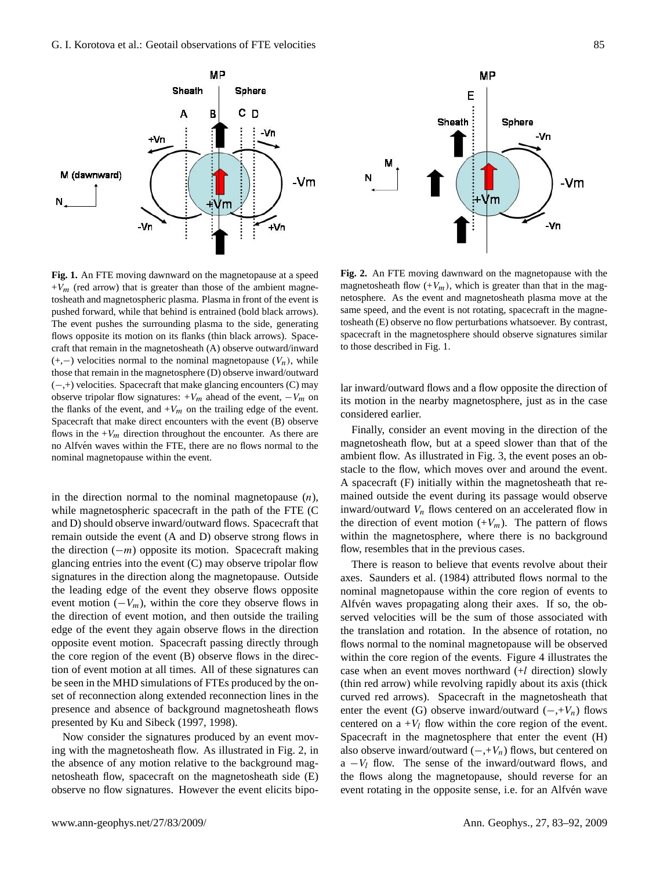

**Fig. 1.** An FTE moving dawnward on the magnetopause at a speed  $+V_m$  (red arrow) that is greater than those of the ambient magnetosheath and magnetospheric plasma. Plasma in front of the event is pushed forward, while that behind is entrained (bold black arrows). The event pushes the surrounding plasma to the side, generating flows opposite its motion on its flanks (thin black arrows). Spacecraft that remain in the magnetosheath (A) observe outward/inward  $(+,-)$  velocities normal to the nominal magnetopause  $(V_n)$ , while those that remain in the magnetosphere (D) observe inward/outward (−,+) velocities. Spacecraft that make glancing encounters (C) may observe tripolar flow signatures:  $+V_m$  ahead of the event,  $-V_m$  on the flanks of the event, and  $+V_m$  on the trailing edge of the event. Spacecraft that make direct encounters with the event (B) observe flows in the  $+V_m$  direction throughout the encounter. As there are no Alfvén waves within the FTE, there are no flows normal to the nominal magnetopause within the event.

in the direction normal to the nominal magnetopause  $(n)$ , while magnetospheric spacecraft in the path of the FTE (C and D) should observe inward/outward flows. Spacecraft that remain outside the event (A and D) observe strong flows in the direction  $(-m)$  opposite its motion. Spacecraft making glancing entries into the event (C) may observe tripolar flow signatures in the direction along the magnetopause. Outside the leading edge of the event they observe flows opposite event motion  $(-V_m)$ , within the core they observe flows in the direction of event motion, and then outside the trailing edge of the event they again observe flows in the direction opposite event motion. Spacecraft passing directly through the core region of the event (B) observe flows in the direction of event motion at all times. All of these signatures can be seen in the MHD simulations of FTEs produced by the onset of reconnection along extended reconnection lines in the presence and absence of background magnetosheath flows presented by Ku and Sibeck (1997, 1998).

Now consider the signatures produced by an event moving with the magnetosheath flow. As illustrated in Fig. 2, in the absence of any motion relative to the background magnetosheath flow, spacecraft on the magnetosheath side (E) observe no flow signatures. However the event elicits bipo-



**Fig. 2.** An FTE moving dawnward on the magnetopause with the magnetosheath flow  $(+V_m)$ , which is greater than that in the magnetosphere. As the event and magnetosheath plasma move at the same speed, and the event is not rotating, spacecraft in the magnetosheath (E) observe no flow perturbations whatsoever. By contrast, spacecraft in the magnetosphere should observe signatures similar to those described in Fig. 1.

lar inward/outward flows and a flow opposite the direction of its motion in the nearby magnetosphere, just as in the case considered earlier.

Finally, consider an event moving in the direction of the magnetosheath flow, but at a speed slower than that of the ambient flow. As illustrated in Fig. 3, the event poses an obstacle to the flow, which moves over and around the event. A spacecraft (F) initially within the magnetosheath that remained outside the event during its passage would observe inward/outward  $V_n$  flows centered on an accelerated flow in the direction of event motion  $(+V_m)$ . The pattern of flows within the magnetosphere, where there is no background flow, resembles that in the previous cases.

There is reason to believe that events revolve about their axes. Saunders et al. (1984) attributed flows normal to the nominal magnetopause within the core region of events to Alfvén waves propagating along their axes. If so, the observed velocities will be the sum of those associated with the translation and rotation. In the absence of rotation, no flows normal to the nominal magnetopause will be observed within the core region of the events. Figure 4 illustrates the case when an event moves northward  $(+l$  direction) slowly (thin red arrow) while revolving rapidly about its axis (thick curved red arrows). Spacecraft in the magnetosheath that enter the event (G) observe inward/outward  $(-, +V_n)$  flows centered on a  $+V_l$  flow within the core region of the event. Spacecraft in the magnetosphere that enter the event (H) also observe inward/outward  $(-, +V_n)$  flows, but centered on a  $-V_l$  flow. The sense of the inward/outward flows, and the flows along the magnetopause, should reverse for an event rotating in the opposite sense, i.e. for an Alfvén wave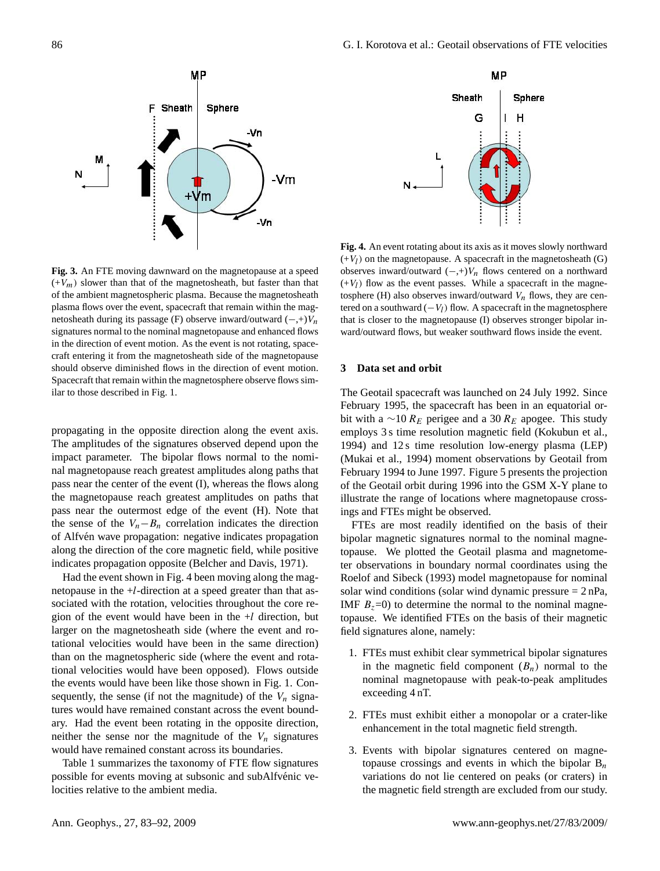

**Fig. 3.** An FTE moving dawnward on the magnetopause at a speed  $(+V_m)$  slower than that of the magnetosheath, but faster than that of the ambient magnetospheric plasma. Because the magnetosheath plasma flows over the event, spacecraft that remain within the magnetosheath during its passage (F) observe inward/outward  $(-,+)V_n$ signatures normal to the nominal magnetopause and enhanced flows in the direction of event motion. As the event is not rotating, spacecraft entering it from the magnetosheath side of the magnetopause should observe diminished flows in the direction of event motion. Spacecraft that remain within the magnetosphere observe flows similar to those described in Fig. 1.

propagating in the opposite direction along the event axis. The amplitudes of the signatures observed depend upon the impact parameter. The bipolar flows normal to the nominal magnetopause reach greatest amplitudes along paths that pass near the center of the event (I), whereas the flows along the magnetopause reach greatest amplitudes on paths that pass near the outermost edge of the event (H). Note that the sense of the  $V_n-B_n$  correlation indicates the direction of Alfvén wave propagation: negative indicates propagation along the direction of the core magnetic field, while positive indicates propagation opposite (Belcher and Davis, 1971).

Had the event shown in Fig. 4 been moving along the magnetopause in the +l-direction at a speed greater than that associated with the rotation, velocities throughout the core region of the event would have been in the  $+l$  direction, but larger on the magnetosheath side (where the event and rotational velocities would have been in the same direction) than on the magnetospheric side (where the event and rotational velocities would have been opposed). Flows outside the events would have been like those shown in Fig. 1. Consequently, the sense (if not the magnitude) of the  $V_n$  signatures would have remained constant across the event boundary. Had the event been rotating in the opposite direction, neither the sense nor the magnitude of the  $V_n$  signatures would have remained constant across its boundaries.

Table 1 summarizes the taxonomy of FTE flow signatures possible for events moving at subsonic and subAlfvénic velocities relative to the ambient media.



**Fig. 4.** An event rotating about its axis as it moves slowly northward  $(+V_l)$  on the magnetopause. A spacecraft in the magnetosheath (G) observes inward/outward  $(-,+)V_n$  flows centered on a northward  $(+V_l)$  flow as the event passes. While a spacecraft in the magnetosphere (H) also observes inward/outward  $V_n$  flows, they are centered on a southward  $(-V_l)$  flow. A spacecraft in the magnetosphere that is closer to the magnetopause (I) observes stronger bipolar inward/outward flows, but weaker southward flows inside the event.

## **3 Data set and orbit**

The Geotail spacecraft was launched on 24 July 1992. Since February 1995, the spacecraft has been in an equatorial orbit with a ∼10  $R_E$  perigee and a 30  $R_E$  apogee. This study employs 3 s time resolution magnetic field (Kokubun et al., 1994) and 12 s time resolution low-energy plasma (LEP) (Mukai et al., 1994) moment observations by Geotail from February 1994 to June 1997. Figure 5 presents the projection of the Geotail orbit during 1996 into the GSM X-Y plane to illustrate the range of locations where magnetopause crossings and FTEs might be observed.

FTEs are most readily identified on the basis of their bipolar magnetic signatures normal to the nominal magnetopause. We plotted the Geotail plasma and magnetometer observations in boundary normal coordinates using the Roelof and Sibeck (1993) model magnetopause for nominal solar wind conditions (solar wind dynamic pressure  $= 2 \text{ nPa}$ , IMF  $B_z=0$ ) to determine the normal to the nominal magnetopause. We identified FTEs on the basis of their magnetic field signatures alone, namely:

- 1. FTEs must exhibit clear symmetrical bipolar signatures in the magnetic field component  $(B_n)$  normal to the nominal magnetopause with peak-to-peak amplitudes exceeding 4 nT.
- 2. FTEs must exhibit either a monopolar or a crater-like enhancement in the total magnetic field strength.
- 3. Events with bipolar signatures centered on magnetopause crossings and events in which the bipolar  $B_n$ variations do not lie centered on peaks (or craters) in the magnetic field strength are excluded from our study.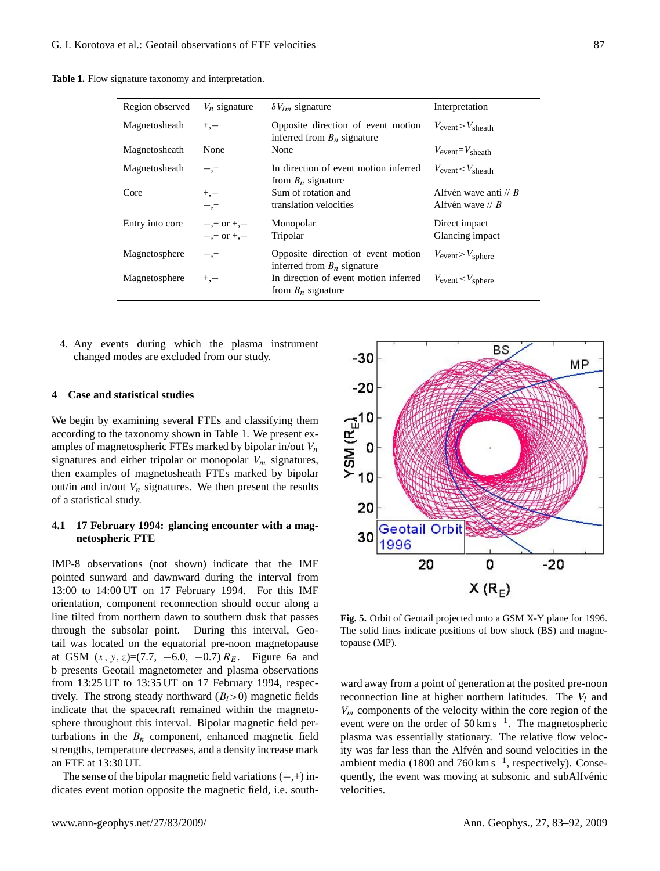| Region observed | $V_n$ signature                    | $\delta V_{lm}$ signature                                           | Interpretation                                           |
|-----------------|------------------------------------|---------------------------------------------------------------------|----------------------------------------------------------|
| Magnetosheath   | $+,-$                              | Opposite direction of event motion<br>inferred from $B_n$ signature | $V_{\text{event}} > V_{\text{sheath}}$                   |
| Magnetosheath   | None                               | None                                                                | $V_{\text{event}}=V_{\text{sheath}}$                     |
| Magnetosheath   | $-,+$                              | In direction of event motion inferred<br>from $B_n$ signature       | $V_{\text{event}} < V_{\text{sheath}}$                   |
| Core            | $+,-$<br>$-,+$                     | Sum of rotation and<br>translation velocities                       | Alfyén waye anti // $\overline{B}$<br>Alfvén wave // $B$ |
| Entry into core | $-$ , + or +, -<br>$-$ , + or +, - | Monopolar<br>Tripolar                                               | Direct impact<br>Glancing impact                         |
| Magnetosphere   | $-,+$                              | Opposite direction of event motion<br>inferred from $B_n$ signature | $V_{\text{event}} > V_{\text{sphere}}$                   |
| Magnetosphere   | $+,-$                              | In direction of event motion inferred<br>from $B_n$ signature       | $V_{\text{event}} < V_{\text{sphere}}$                   |

**Table 1.** Flow signature taxonomy and interpretation.

4. Any events during which the plasma instrument changed modes are excluded from our study.

#### **4 Case and statistical studies**

We begin by examining several FTEs and classifying them according to the taxonomy shown in Table 1. We present examples of magnetospheric FTEs marked by bipolar in/out  $V_n$ signatures and either tripolar or monopolar  $V_m$  signatures, then examples of magnetosheath FTEs marked by bipolar out/in and in/out  $V_n$  signatures. We then present the results of a statistical study.

## **4.1 17 February 1994: glancing encounter with a magnetospheric FTE**

IMP-8 observations (not shown) indicate that the IMF pointed sunward and dawnward during the interval from 13:00 to 14:00 UT on 17 February 1994. For this IMF orientation, component reconnection should occur along a line tilted from northern dawn to southern dusk that passes through the subsolar point. During this interval, Geotail was located on the equatorial pre-noon magnetopause at GSM  $(x, y, z)=(7.7, -6.0, -0.7) R_E$ . Figure 6a and b presents Geotail magnetometer and plasma observations from 13:25 UT to 13:35 UT on 17 February 1994, respectively. The strong steady northward  $(B<sub>l</sub> > 0)$  magnetic fields indicate that the spacecraft remained within the magnetosphere throughout this interval. Bipolar magnetic field perturbations in the  $B_n$  component, enhanced magnetic field strengths, temperature decreases, and a density increase mark an FTE at 13:30 UT.

The sense of the bipolar magnetic field variations  $(-,+)$  indicates event motion opposite the magnetic field, i.e. south-



**Fig. 5.** Orbit of Geotail projected onto a GSM X-Y plane for 1996. The solid lines indicate positions of bow shock (BS) and magnetopause (MP).

ward away from a point of generation at the posited pre-noon reconnection line at higher northern latitudes. The  $V_l$  and  $V_m$  components of the velocity within the core region of the event were on the order of 50 km s<sup>-1</sup>. The magnetospheric plasma was essentially stationary. The relative flow velocity was far less than the Alfvén and sound velocities in the ambient media (1800 and 760 km s−<sup>1</sup> , respectively). Consequently, the event was moving at subsonic and subAlfvénic velocities.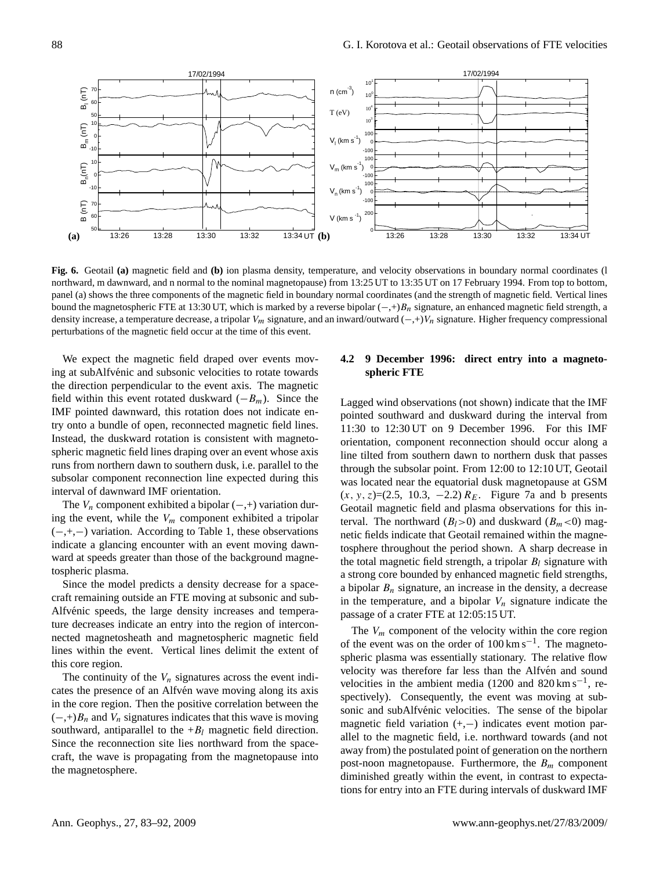

**Fig. 6.** Geotail **(a)** magnetic field and **(b)** ion plasma density, temperature, and velocity observations in boundary normal coordinates (l northward, m dawnward, and n normal to the nominal magnetopause) from 13:25 UT to 13:35 UT on 17 February 1994. From top to bottom, panel (a) shows the three components of the magnetic field in boundary normal coordinates (and the strength of magnetic field. Vertical lines bound the magnetospheric FTE at 13:30 UT, which is marked by a reverse bipolar  $(-,+)B_n$  signature, an enhanced magnetic field strength, a density increase, a temperature decrease, a tripolar  $V_m$  signature, and an inward/outward  $(-,+)V_n$  signature. Higher frequency compressional perturbations of the magnetic field occur at the time of this event.

We expect the magnetic field draped over events moving at subAlfvénic and subsonic velocities to rotate towards the direction perpendicular to the event axis. The magnetic field within this event rotated duskward  $(-B_m)$ . Since the IMF pointed dawnward, this rotation does not indicate entry onto a bundle of open, reconnected magnetic field lines. Instead, the duskward rotation is consistent with magnetospheric magnetic field lines draping over an event whose axis runs from northern dawn to southern dusk, i.e. parallel to the subsolar component reconnection line expected during this interval of dawnward IMF orientation.

The  $V_n$  component exhibited a bipolar (-,+) variation during the event, while the  $V_m$  component exhibited a tripolar (−,+,−) variation. According to Table 1, these observations indicate a glancing encounter with an event moving dawnward at speeds greater than those of the background magnetospheric plasma.

Since the model predicts a density decrease for a spacecraft remaining outside an FTE moving at subsonic and sub-Alfvénic speeds, the large density increases and temperature decreases indicate an entry into the region of interconnected magnetosheath and magnetospheric magnetic field lines within the event. Vertical lines delimit the extent of this core region.

The continuity of the  $V_n$  signatures across the event indicates the presence of an Alfvén wave moving along its axis in the core region. Then the positive correlation between the  $(-,+)B_n$  and  $V_n$  signatures indicates that this wave is moving southward, antiparallel to the  $+B_l$  magnetic field direction. Since the reconnection site lies northward from the spacecraft, the wave is propagating from the magnetopause into the magnetosphere.

# **4.2 9 December 1996: direct entry into a magnetospheric FTE**

Lagged wind observations (not shown) indicate that the IMF pointed southward and duskward during the interval from 11:30 to 12:30 UT on 9 December 1996. For this IMF orientation, component reconnection should occur along a line tilted from southern dawn to northern dusk that passes through the subsolar point. From 12:00 to 12:10 UT, Geotail was located near the equatorial dusk magnetopause at GSM  $(x, y, z) = (2.5, 10.3, -2.2) R_E$ . Figure 7a and b presents Geotail magnetic field and plasma observations for this interval. The northward  $(B_l>0)$  and duskward  $(B_m<0)$  magnetic fields indicate that Geotail remained within the magnetosphere throughout the period shown. A sharp decrease in the total magnetic field strength, a tripolar  $B_l$  signature with a strong core bounded by enhanced magnetic field strengths, a bipolar  $B_n$  signature, an increase in the density, a decrease in the temperature, and a bipolar  $V_n$  signature indicate the passage of a crater FTE at 12:05:15 UT.

The  $V_m$  component of the velocity within the core region of the event was on the order of  $100 \text{ km s}^{-1}$ . The magnetospheric plasma was essentially stationary. The relative flow velocity was therefore far less than the Alfvén and sound velocities in the ambient media (1200 and 820 km s<sup>-1</sup>, respectively). Consequently, the event was moving at subsonic and subAlfvénic velocities. The sense of the bipolar magnetic field variation (+,−) indicates event motion parallel to the magnetic field, i.e. northward towards (and not away from) the postulated point of generation on the northern post-noon magnetopause. Furthermore, the  $B_m$  component diminished greatly within the event, in contrast to expectations for entry into an FTE during intervals of duskward IMF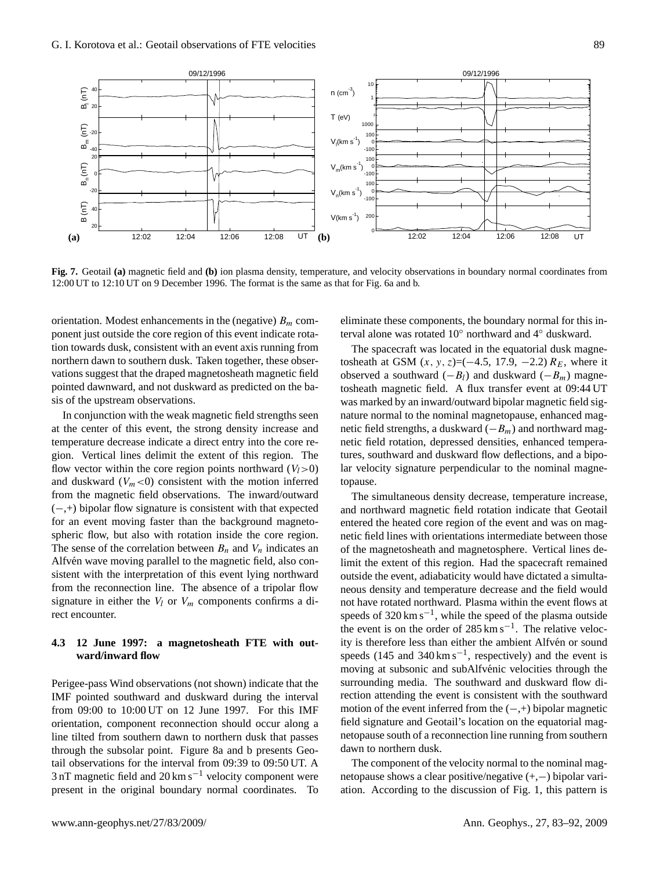

**Fig. 7.** Geotail **(a)** magnetic field and **(b)** ion plasma density, temperature, and velocity observations in boundary normal coordinates from 12:00 UT to 12:10 UT on 9 December 1996. The format is the same as that for Fig. 6a and b.

orientation. Modest enhancements in the (negative)  $B_m$  component just outside the core region of this event indicate rotation towards dusk, consistent with an event axis running from northern dawn to southern dusk. Taken together, these observations suggest that the draped magnetosheath magnetic field pointed dawnward, and not duskward as predicted on the basis of the upstream observations.

In conjunction with the weak magnetic field strengths seen at the center of this event, the strong density increase and temperature decrease indicate a direct entry into the core region. Vertical lines delimit the extent of this region. The flow vector within the core region points northward  $(V_l>0)$ and duskward  $(V_m < 0)$  consistent with the motion inferred from the magnetic field observations. The inward/outward (−,+) bipolar flow signature is consistent with that expected for an event moving faster than the background magnetospheric flow, but also with rotation inside the core region. The sense of the correlation between  $B_n$  and  $V_n$  indicates an Alfvén wave moving parallel to the magnetic field, also consistent with the interpretation of this event lying northward from the reconnection line. The absence of a tripolar flow signature in either the  $V_l$  or  $V_m$  components confirms a direct encounter.

# **4.3 12 June 1997: a magnetosheath FTE with outward/inward flow**

Perigee-pass Wind observations (not shown) indicate that the IMF pointed southward and duskward during the interval from 09:00 to 10:00 UT on 12 June 1997. For this IMF orientation, component reconnection should occur along a line tilted from southern dawn to northern dusk that passes through the subsolar point. Figure 8a and b presents Geotail observations for the interval from 09:39 to 09:50 UT. A 3 nT magnetic field and 20 km s−<sup>1</sup> velocity component were present in the original boundary normal coordinates. To eliminate these components, the boundary normal for this interval alone was rotated 10◦ northward and 4◦ duskward.

The spacecraft was located in the equatorial dusk magnetosheath at GSM  $(x, y, z) = (-4.5, 17.9, -2.2) R_E$ , where it observed a southward  $(-B_l)$  and duskward  $(-B_m)$  magnetosheath magnetic field. A flux transfer event at 09:44 UT was marked by an inward/outward bipolar magnetic field signature normal to the nominal magnetopause, enhanced magnetic field strengths, a duskward  $(-B_m)$  and northward magnetic field rotation, depressed densities, enhanced temperatures, southward and duskward flow deflections, and a bipolar velocity signature perpendicular to the nominal magnetopause.

The simultaneous density decrease, temperature increase, and northward magnetic field rotation indicate that Geotail entered the heated core region of the event and was on magnetic field lines with orientations intermediate between those of the magnetosheath and magnetosphere. Vertical lines delimit the extent of this region. Had the spacecraft remained outside the event, adiabaticity would have dictated a simultaneous density and temperature decrease and the field would not have rotated northward. Plasma within the event flows at speeds of  $320 \text{ km s}^{-1}$ , while the speed of the plasma outside the event is on the order of 285 km s−<sup>1</sup> . The relative velocity is therefore less than either the ambient Alfvén or sound speeds  $(145 \text{ and } 340 \text{ km s}^{-1})$ , respectively) and the event is moving at subsonic and subAlfvénic velocities through the surrounding media. The southward and duskward flow direction attending the event is consistent with the southward motion of the event inferred from the  $(-,+)$  bipolar magnetic field signature and Geotail's location on the equatorial magnetopause south of a reconnection line running from southern dawn to northern dusk.

The component of the velocity normal to the nominal magnetopause shows a clear positive/negative (+,−) bipolar variation. According to the discussion of Fig. 1, this pattern is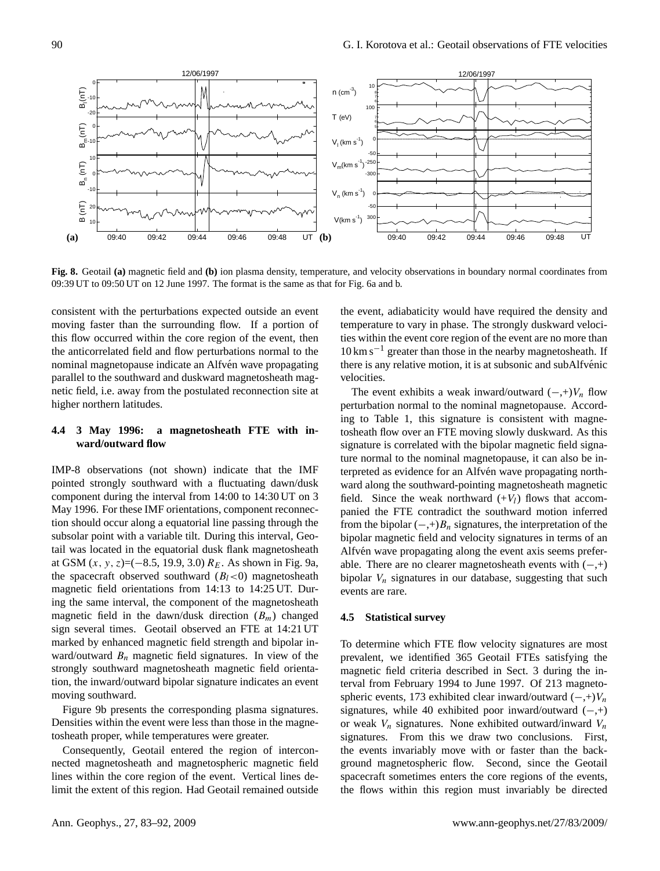

**Fig. 8.** Geotail **(a)** magnetic field and **(b)** ion plasma density, temperature, and velocity observations in boundary normal coordinates from 09:39 UT to 09:50 UT on 12 June 1997. The format is the same as that for Fig. 6a and b.

consistent with the perturbations expected outside an event moving faster than the surrounding flow. If a portion of this flow occurred within the core region of the event, then the anticorrelated field and flow perturbations normal to the nominal magnetopause indicate an Alfvén wave propagating parallel to the southward and duskward magnetosheath magnetic field, i.e. away from the postulated reconnection site at higher northern latitudes.

# **4.4 3 May 1996: a magnetosheath FTE with inward/outward flow**

IMP-8 observations (not shown) indicate that the IMF pointed strongly southward with a fluctuating dawn/dusk component during the interval from 14:00 to 14:30 UT on 3 May 1996. For these IMF orientations, component reconnection should occur along a equatorial line passing through the subsolar point with a variable tilt. During this interval, Geotail was located in the equatorial dusk flank magnetosheath at GSM  $(x, y, z) = (-8.5, 19.9, 3.0) R<sub>E</sub>$ . As shown in Fig. 9a, the spacecraft observed southward  $(B<sub>l</sub><0)$  magnetosheath magnetic field orientations from 14:13 to 14:25 UT. During the same interval, the component of the magnetosheath magnetic field in the dawn/dusk direction  $(B_m)$  changed sign several times. Geotail observed an FTE at 14:21 UT marked by enhanced magnetic field strength and bipolar inward/outward  $B_n$  magnetic field signatures. In view of the strongly southward magnetosheath magnetic field orientation, the inward/outward bipolar signature indicates an event moving southward.

Figure 9b presents the corresponding plasma signatures. Densities within the event were less than those in the magnetosheath proper, while temperatures were greater.

Consequently, Geotail entered the region of interconnected magnetosheath and magnetospheric magnetic field lines within the core region of the event. Vertical lines delimit the extent of this region. Had Geotail remained outside the event, adiabaticity would have required the density and temperature to vary in phase. The strongly duskward velocities within the event core region of the event are no more than  $10 \text{ km s}^{-1}$  greater than those in the nearby magnetosheath. If there is any relative motion, it is at subsonic and subAlfvénic velocities.

The event exhibits a weak inward/outward  $(-,+)V_n$  flow perturbation normal to the nominal magnetopause. According to Table 1, this signature is consistent with magnetosheath flow over an FTE moving slowly duskward. As this signature is correlated with the bipolar magnetic field signature normal to the nominal magnetopause, it can also be interpreted as evidence for an Alfvén wave propagating northward along the southward-pointing magnetosheath magnetic field. Since the weak northward  $(+V_l)$  flows that accompanied the FTE contradict the southward motion inferred from the bipolar  $(-,+)B_n$  signatures, the interpretation of the bipolar magnetic field and velocity signatures in terms of an Alfvén wave propagating along the event axis seems preferable. There are no clearer magnetosheath events with  $(-,+)$ bipolar  $V_n$  signatures in our database, suggesting that such events are rare.

## **4.5 Statistical survey**

To determine which FTE flow velocity signatures are most prevalent, we identified 365 Geotail FTEs satisfying the magnetic field criteria described in Sect. 3 during the interval from February 1994 to June 1997. Of 213 magnetospheric events, 173 exhibited clear inward/outward  $(-,+)V_n$ signatures, while 40 exhibited poor inward/outward  $(-,+)$ or weak  $V_n$  signatures. None exhibited outward/inward  $V_n$ signatures. From this we draw two conclusions. First, the events invariably move with or faster than the background magnetospheric flow. Second, since the Geotail spacecraft sometimes enters the core regions of the events, the flows within this region must invariably be directed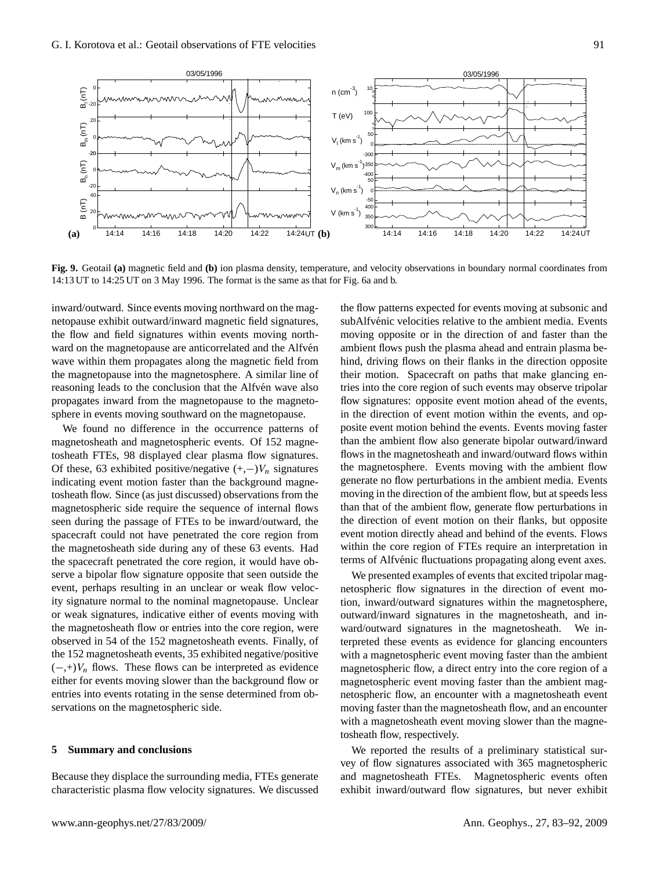

**Fig. 9.** Geotail **(a)** magnetic field and **(b)** ion plasma density, temperature, and velocity observations in boundary normal coordinates from 14:13 UT to 14:25 UT on 3 May 1996. The format is the same as that for Fig. 6a and b.

inward/outward. Since events moving northward on the magnetopause exhibit outward/inward magnetic field signatures, the flow and field signatures within events moving northward on the magnetopause are anticorrelated and the Alfvén wave within them propagates along the magnetic field from the magnetopause into the magnetosphere. A similar line of reasoning leads to the conclusion that the Alfvén wave also propagates inward from the magnetopause to the magnetosphere in events moving southward on the magnetopause.

We found no difference in the occurrence patterns of magnetosheath and magnetospheric events. Of 152 magnetosheath FTEs, 98 displayed clear plasma flow signatures. Of these, 63 exhibited positive/negative  $(+,-)V_n$  signatures indicating event motion faster than the background magnetosheath flow. Since (as just discussed) observations from the magnetospheric side require the sequence of internal flows seen during the passage of FTEs to be inward/outward, the spacecraft could not have penetrated the core region from the magnetosheath side during any of these 63 events. Had the spacecraft penetrated the core region, it would have observe a bipolar flow signature opposite that seen outside the event, perhaps resulting in an unclear or weak flow velocity signature normal to the nominal magnetopause. Unclear or weak signatures, indicative either of events moving with the magnetosheath flow or entries into the core region, were observed in 54 of the 152 magnetosheath events. Finally, of the 152 magnetosheath events, 35 exhibited negative/positive  $(-,+)V_n$  flows. These flows can be interpreted as evidence either for events moving slower than the background flow or entries into events rotating in the sense determined from observations on the magnetospheric side.

## **5 Summary and conclusions**

Because they displace the surrounding media, FTEs generate characteristic plasma flow velocity signatures. We discussed the flow patterns expected for events moving at subsonic and subAlfvénic velocities relative to the ambient media. Events moving opposite or in the direction of and faster than the ambient flows push the plasma ahead and entrain plasma behind, driving flows on their flanks in the direction opposite their motion. Spacecraft on paths that make glancing entries into the core region of such events may observe tripolar flow signatures: opposite event motion ahead of the events, in the direction of event motion within the events, and opposite event motion behind the events. Events moving faster than the ambient flow also generate bipolar outward/inward flows in the magnetosheath and inward/outward flows within the magnetosphere. Events moving with the ambient flow generate no flow perturbations in the ambient media. Events moving in the direction of the ambient flow, but at speeds less than that of the ambient flow, generate flow perturbations in the direction of event motion on their flanks, but opposite event motion directly ahead and behind of the events. Flows within the core region of FTEs require an interpretation in terms of Alfvénic fluctuations propagating along event axes.

We presented examples of events that excited tripolar magnetospheric flow signatures in the direction of event motion, inward/outward signatures within the magnetosphere, outward/inward signatures in the magnetosheath, and inward/outward signatures in the magnetosheath. We interpreted these events as evidence for glancing encounters with a magnetospheric event moving faster than the ambient magnetospheric flow, a direct entry into the core region of a magnetospheric event moving faster than the ambient magnetospheric flow, an encounter with a magnetosheath event moving faster than the magnetosheath flow, and an encounter with a magnetosheath event moving slower than the magnetosheath flow, respectively.

We reported the results of a preliminary statistical survey of flow signatures associated with 365 magnetospheric and magnetosheath FTEs. Magnetospheric events often exhibit inward/outward flow signatures, but never exhibit